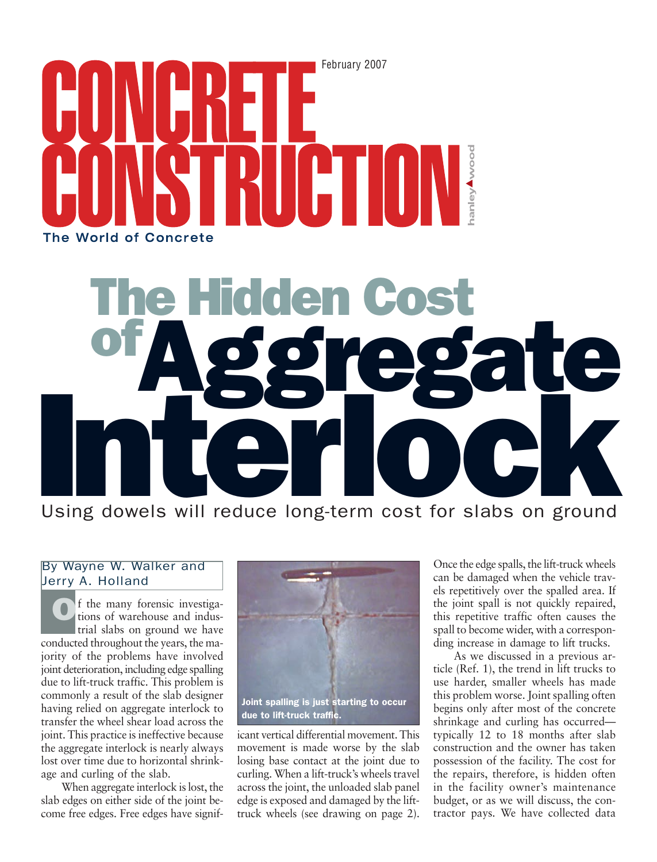

# Thin Hidden Co ofAggregate Using dowels will reduce long-term cost for slabs on ground

# By Wayne W. Walker and Jerry A. Holland

f the many forensic investigations of warehouse and industrial slabs on ground we have conducted throughout the years, the majority of the problems have involved joint deterioration, including edge spalling due to lift-truck traffic. This problem is commonly a result of the slab designer having relied on aggregate interlock to transfer the wheel shear load across the joint. This practice is ineffective because the aggregate interlock is nearly always lost over time due to horizontal shrinkage and curling of the slab. O

When aggregate interlock is lost, the slab edges on either side of the joint become free edges. Free edges have signif-



icant vertical differential movement. This movement is made worse by the slab losing base contact at the joint due to curling. When a lift-truck's wheels travel across the joint, the unloaded slab panel edge is exposed and damaged by the lifttruck wheels (see drawing on page 2).

Once the edge spalls, the lift-truck wheels can be damaged when the vehicle travels repetitively over the spalled area. If the joint spall is not quickly repaired, this repetitive traffic often causes the spall to become wider, with a corresponding increase in damage to lift trucks.

As we discussed in a previous article (Ref. 1), the trend in lift trucks to use harder, smaller wheels has made this problem worse. Joint spalling often begins only after most of the concrete shrinkage and curling has occurred typically 12 to 18 months after slab construction and the owner has taken possession of the facility. The cost for the repairs, therefore, is hidden often in the facility owner's maintenance budget, or as we will discuss, the contractor pays. We have collected data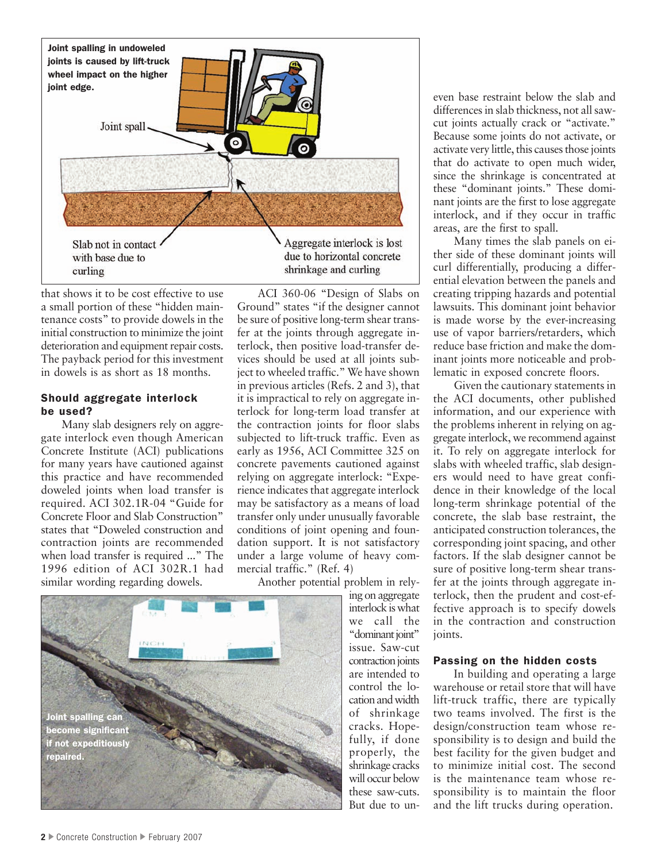

that shows it to be cost effective to use a small portion of these "hidden maintenance costs" to provide dowels in the initial construction to minimize the joint deterioration and equipment repair costs. The payback period for this investment in dowels is as short as 18 months.

#### Should aggregate interlock be used?

Many slab designers rely on aggregate interlock even though American Concrete Institute (ACI) publications for many years have cautioned against this practice and have recommended doweled joints when load transfer is required. ACI 302.1R-04 "Guide for Concrete Floor and Slab Construction" states that "Doweled construction and contraction joints are recommended when load transfer is required ..." The 1996 edition of ACI 302R.1 had similar wording regarding dowels.

ACI 360-06 "Design of Slabs on Ground" states "if the designer cannot be sure of positive long-term shear transfer at the joints through aggregate interlock, then positive load-transfer devices should be used at all joints subject to wheeled traffic." We have shown in previous articles (Refs. 2 and 3), that it is impractical to rely on aggregate interlock for long-term load transfer at the contraction joints for floor slabs subjected to lift-truck traffic. Even as early as 1956, ACI Committee 325 on concrete pavements cautioned against relying on aggregate interlock: "Experience indicates that aggregate interlock may be satisfactory as a means of load transfer only under unusually favorable conditions of joint opening and foundation support. It is not satisfactory under a large volume of heavy commercial traffic." (Ref. 4)

Another potential problem in rely-

ing on aggregate interlock is what we call the "dominant joint" issue. Saw-cut contraction joints are intended to control the location and width of shrinkage cracks. Hopefully, if done properly, the shrinkage cracks will occur below these saw-cuts. But due to un-



even base restraint below the slab and differences in slab thickness, not all sawcut joints actually crack or "activate." Because some joints do not activate, or activate very little, this causes those joints that do activate to open much wider, since the shrinkage is concentrated at these "dominant joints." These dominant joints are the first to lose aggregate interlock, and if they occur in traffic areas, are the first to spall.

Many times the slab panels on either side of these dominant joints will curl differentially, producing a differential elevation between the panels and creating tripping hazards and potential lawsuits. This dominant joint behavior is made worse by the ever-increasing use of vapor barriers/retarders, which reduce base friction and make the dominant joints more noticeable and problematic in exposed concrete floors.

Given the cautionary statements in the ACI documents, other published information, and our experience with the problems inherent in relying on aggregate interlock, we recommend against it. To rely on aggregate interlock for slabs with wheeled traffic, slab designers would need to have great confidence in their knowledge of the local long-term shrinkage potential of the concrete, the slab base restraint, the anticipated construction tolerances, the corresponding joint spacing, and other factors. If the slab designer cannot be sure of positive long-term shear transfer at the joints through aggregate interlock, then the prudent and cost-effective approach is to specify dowels in the contraction and construction joints.

#### Passing on the hidden costs

In building and operating a large warehouse or retail store that will have lift-truck traffic, there are typically two teams involved. The first is the design/construction team whose responsibility is to design and build the best facility for the given budget and to minimize initial cost. The second is the maintenance team whose responsibility is to maintain the floor and the lift trucks during operation.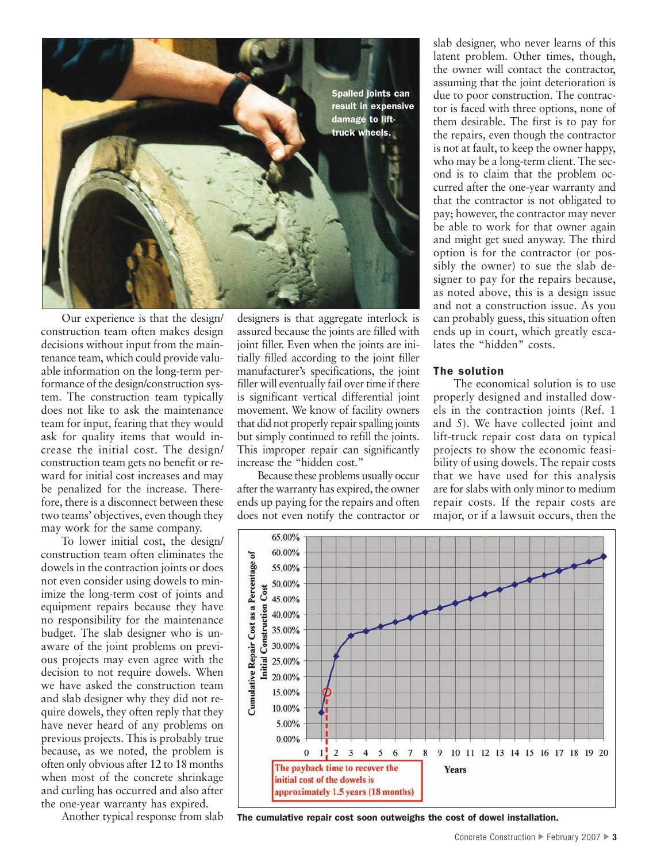

Our experience is that the design/ construction team often makes design decisions without input from the maintenance team, which could provide valuable information on the long-term performance of the design/construction system. The construction team typically does not like to ask the maintenance team for input, fearing that they would ask for quality items that would increase the initial cost. The design/ construction team gets no benefit or reward for initial cost increases and may be penalized for the increase. Therefore, there is a disconnect between these two teams' objectives, even though they may work for the same company.

To lower initial cost, the design/ construction team often eliminates the dowels in the contraction joints or does not even consider using dowels to minimize the long-term cost of joints and equipment repairs because they have no responsibility for the maintenance budget. The slab designer who is unaware of the joint problems on previous projects may even agree with the decision to not require dowels. When we have asked the construction team and slab designer why they did not require dowels, they often reply that they have never heard of any problems on previous projects. This is probably true because, as we noted, the problem is often only obvious after 12 to 18 months when most of the concrete shrinkage and curling has occurred and also after the one-year warranty has expired.

Another typical response from slab

designers is that aggregate interlock is assured because the joints are filled with joint filler. Even when the joints are initially filled according to the joint filler manufacturer's specifications, the joint filler will eventually fail over time if there is significant vertical differential joint movement. We know of facility owners that did not properly repair spalling joints but simply continued to refill the joints. This improper repair can significantly increase the "hidden cost."

Because these problems usually occur after the warranty has expired, the owner ends up paying for the repairs and often does not even notify the contractor or

slab designer, who never learns of this latent problem. Other times, though, the owner will contact the contractor, assuming that the joint deterioration is due to poor construction. The contractor is faced with three options, none of them desirable. The first is to pay for the repairs, even though the contractor is not at fault, to keep the owner happy, who may be a long-term client. The second is to claim that the problem occurred after the one-year warranty and that the contractor is not obligated to pay; however, the contractor may never be able to work for that owner again and might get sued anyway. The third option is for the contractor (or possibly the owner) to sue the slab designer to pay for the repairs because, as noted above, this is a design issue and not a construction issue. As you can probably guess, this situation often ends up in court, which greatly escalates the "hidden" costs.

## The solution

The economical solution is to use properly designed and installed dowels in the contraction joints (Ref. 1 and 5). We have collected joint and lift-truck repair cost data on typical projects to show the economic feasibility of using dowels. The repair costs that we have used for this analysis are for slabs with only minor to medium repair costs. If the repair costs are major, or if a lawsuit occurs, then the



The cumulative repair cost soon outweighs the cost of dowel installation.